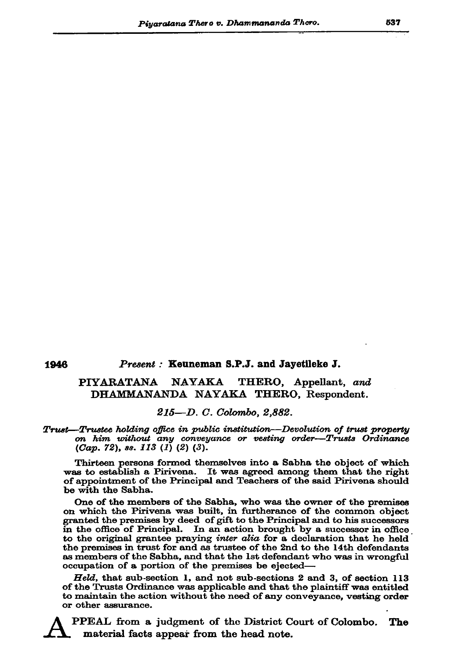## Present: Keuneman S.P.J. and Jayetileke J.

## **PIYARATANA NAYAKA** THERO, Appellant, and DHAMMANANDA NAYAKA THERO, Respondent.

## 215—D. C. Colombo. 2.882.

## **Trust**—Trustee holding office in public institution—Devolution of trust property on him without any conveyance or vesting order-Trusts Ordinance  $(Cap. 72)$ , ss. 113 (1) (2) (3).

Thirteen persons formed themselves into a Sabha the object of which was to establish a Pirivena. It was agreed among them that the right of appointment of the Principal and Teachers of the said Pirivena should be with the Sabha.

One of the members of the Sabha, who was the owner of the premises on which the Pirivena was built, in furtherance of the common object granted the premises by deed of gift to the Principal and to his successors in the office of Principal. In an action brought by a successor in office to the original grantee praying *inter alia* for a declaration that he held the premises in trust for and as trustee of the 2nd to the 14th defendants as members of the Sabha, and that the 1st defendant who was in wrongful occupation of a portion of the premises be ejected-

Held, that sub-section 1, and not sub-sections 2 and 3, of section 113 of the Trusts Ordinance was applicable and that the plaintiff was entitled to maintain the action without the need of any conveyance, vesting order or other assurance.

PPEAL from a judgment of the District Court of Colombo. The material facts appear from the head note.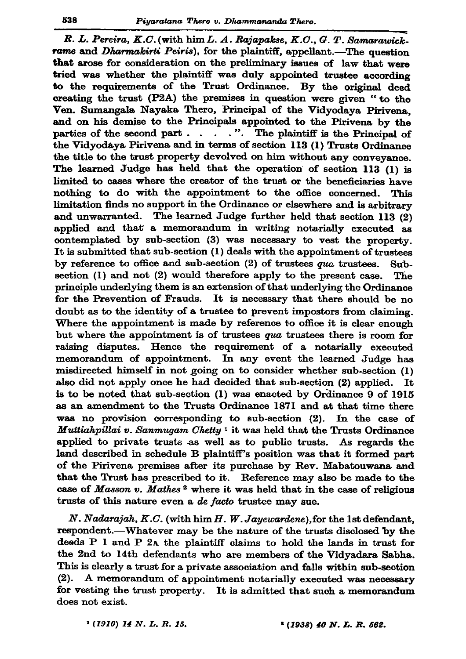R. L. Pereira, K.C. (with him L. A. Rajapakse, K.C., G. T. Samarawick. rame and Dharmakirti Peiris), for the plaintiff, appellant.-The question that arose for consideration on the preliminary issues of law that were tried was whether the plaintiff was duly appointed trustee according to the requirements of the Trust Ordinance. By the original deed creating the trust (P2A) the premises in question were given " to the Ven. Sumangala Nayaka Thero, Principal of the Vidvodava Pirivena. and on his demise to the Principals appointed to the Pirivena by the parties of the second part  $\ldots$  . . . . . . . . . The plaintiff is the Principal of the Vidvodava Pirivena and in terms of section 113 (1) Trusts Ordinance the title to the trust property devolved on him without any conveyance. The learned Judge has held that the operation of section 113 (1) is limited to cases where the creator of the trust or the beneficiaries have nothing to do with the appointment to the office concerned. This limitation finds no support in the Ordinance or elsewhere and is arbitrary and unwarranted. The learned Judge further held that section 113  $(2)$ applied and that a memorandum in writing notarially executed as contemplated by sub-section (3) was necessary to vest the property. It is submitted that sub-section (1) deals with the appointment of trustees by reference to office and sub-section  $(2)$  of trustees qua trustees. Subsection (1) and not (2) would therefore apply to the present case. The principle underlying them is an extension of that underlying the Ordinance for the Prevention of Frauds. It is necessary that there should be no doubt as to the identity of a trustee to prevent impostors from claiming. Where the appointment is made by reference to office it is clear enough but where the appointment is of trustees qua trustees there is room for raising disputes. Hence the requirement of a notarially executed memorandum of appointment. In any event the learned Judge has misdirected himself in not going on to consider whether sub-section (1) also did not apply once he had decided that sub-section (2) applied. It is to be noted that sub-section  $(1)$  was enacted by Ordinance  $9$  of 1915 as an amendment to the Trusts Ordinance 1871 and at that time there was no provision corresponding to sub-section  $(2)$ . In the case of Muttiahpillai v. Sanmugam Chetty<sup>1</sup> it was held that the Trusts Ordinance applied to private trusts as well as to public trusts. As regards the land described in schedule B plaintiff's position was that it formed part of the Pirivena premises after its purchase by Rev. Mabatouwana and that the Trust has prescribed to it. Reference may also be made to the case of Masson v. Mathes<sup>2</sup> where it was held that in the case of religious trusts of this nature even a de facto trustee may sue.

 $N. Nadarajah, K.C.$  (with him  $H.$   $W. Jayevarden$ ), for the 1st defendant, respondent.—Whatever may be the nature of the trusts disclosed by the deeds P 1 and P 2A the plaintiff claims to hold the lands in trust for the 2nd to 14th defendants who are members of the Vidyadara Sabha. This is clearly a trust for a private association and falls within sub-section (2). A memorandum of appointment notarially executed was necessary for vesting the trust property. It is admitted that such a memorandum does not exist.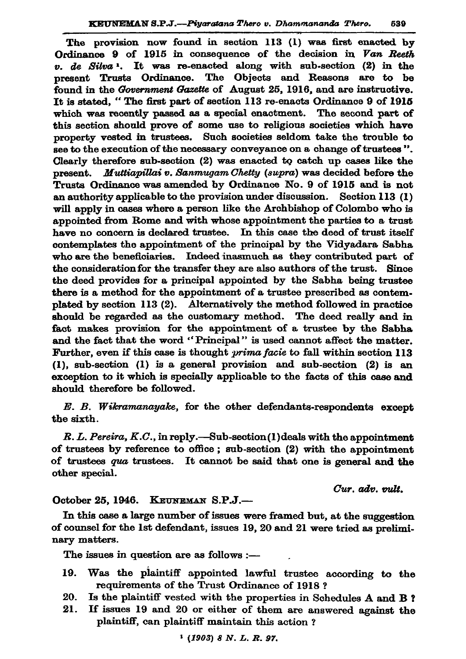The provision now found in section 113 (1) was first enacted by Ordinance 9 of 1915 in consequence of the decision in Van Reeth v. de Silva<sup>1</sup>. It was re-enacted along with sub-section (2) in the present Trusts Ordinance. The Objects and Reasons are to be found in the Government Gazette of August 25, 1916, and are instructive. It is stated. "The first part of section 113 re-enacts Ordinance 9 of 1915 which was recently passed as a special enactment. The second part of this section should prove of some use to religious societies which have property vested in trustees. Such societies seldom take the trouble to see to the execution of the necessary conveyance on a change of trustees". Clearly therefore sub-section (2) was enacted to catch up cases like the present. Muttiapillai v. Sanmugam Chetty (supra) was decided before the Trusts Ordinance was amended by Ordinance No. 9 of 1915 and is not an authority applicable to the provision under discussion. Section  $113(1)$ will apply in cases where a person like the Archbishop of Colombo who is appointed from Rome and with whose appointment the parties to a trust have no concern is declared trustee. In this case the deed of trust itself contemplates the appointment of the principal by the Vidyadara Sabha who are the beneficiaries. Indeed inasmuch as they contributed part of the consideration for the transfer they are also authors of the trust. Since the deed provides for a principal appointed by the Sabha being trustee there is a method for the appointment of a trustee prescribed as contemplated by section 113 (2). Alternatively the method followed in practice should be regarded as the customary method. The deed really and in fact makes provision for the appointment of a trustee by the Sabha and the fact that the word "Principal" is used cannot affect the matter. Further, even if this case is thought *prima facie* to fall within section 113  $(1)$ , sub-section  $(1)$  is a general provision and sub-section  $(2)$  is an exception to it which is specially applicable to the facts of this case and should therefore be followed.

E. B. Wikramanayake, for the other defendants-respondents except the sixth.

R. L. Pereira, K.C., in reply.—Sub-section(1) deals with the appointment of trustees by reference to office; sub-section (2) with the appointment of trustees qua trustees. It cannot be said that one is general and the other special.

Cur. adv. vult.

October 25, 1946. KEUNEMAN S.P.J.-

In this case a large number of issues were framed but, at the suggestion of counsel for the 1st defendant, issues 19, 20 and 21 were tried as preliminary matters.

The issues in question are as follows :-

- Was the plaintiff appointed lawful trustee according to the 19. requirements of the Trust Ordinance of 1918?
- Is the plaintiff vested with the properties in Schedules A and B? 20.
- If issues 19 and 20 or either of them are answered against the  $21.$ plaintiff, can plaintiff maintain this action?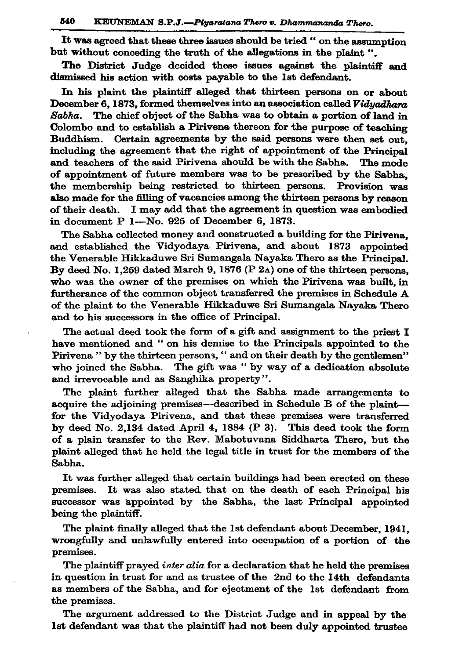It was agreed that these three issues should be tried " on the assumption but without conceding the truth of the allegations in the plaint".

The District Judge decided these issues against the plaintiff and dismissed his action with costs payable to the 1st defendant.

In his plaint the plaintiff alleged that thirteen persons on or about December 6, 1873, formed themselves into an association called Viduadhara The chief object of the Sabha was to obtain a portion of land in Sabha. Colombo and to establish a Pirivena thereon for the purpose of teaching Buddhism. Certain agreements by the said persons were then set out. including the agreement that the right of appointment of the Principal and teachers of the said Pirivena should be with the Sabha. The mode of appointment of future members was to be prescribed by the Sabha. the membership being restricted to thirteen persons. Provision was also made for the filling of vacancies among the thirteen persons by reason of their death. I may add that the agreement in question was embodied in document P 1-No. 925 of December 6, 1873.

The Sabha collected money and constructed a building for the Pirivena. and established the Vidyodaya Pirivena, and about 1873 appointed the Venerable Hikkaduwe Sri Sumangala Nayaka Thero as the Principal. By deed No. 1.259 dated March 9, 1876 (P  $2a$ ) one of the thirteen persons. who was the owner of the premises on which the Pirivena was built, in furtherance of the common object transferred the premises in Schedule A of the plaint to the Venerable Hikkaduwe Sri Sumangala Nayaka Thero and to his successors in the office of Principal.

The actual deed took the form of a gift and assignment to the priest I have mentioned and "on his demise to the Principals appointed to the Pirivena " by the thirteen persons, " and on their death by the gentlemen" who joined the Sabha. The gift was "by way of a dedication absolute and irrevocable and as Sanghika property".

The plaint further alleged that the Sabha made arrangements to acquire the adjoining premises—described in Schedule B of the plaint for the Vidyodaya Pirivena, and that these premises were transferred by deed No. 2,134 dated April 4, 1884 (P 3). This deed took the form of a plain transfer to the Rev. Mabotuvana Siddharta Thero, but the plaint alleged that he held the legal title in trust for the members of the Sabha.

It was further alleged that certain buildings had been erected on these premises. It was also stated that on the death of each Principal his successor was appointed by the Sabha, the last Principal appointed being the plaintiff.

The plaint finally alleged that the 1st defendant about December, 1941, wrongfully and unlawfully entered into occupation of a portion of the premises.

The plaintiff prayed inter alia for a declaration that he held the premises in question in trust for and as trustee of the 2nd to the 14th defendants as members of the Sabha, and for ejectment of the 1st defendant from the premises.

The argument addressed to the District Judge and in appeal by the 1st defendant was that the plaintiff had not been duly appointed trustee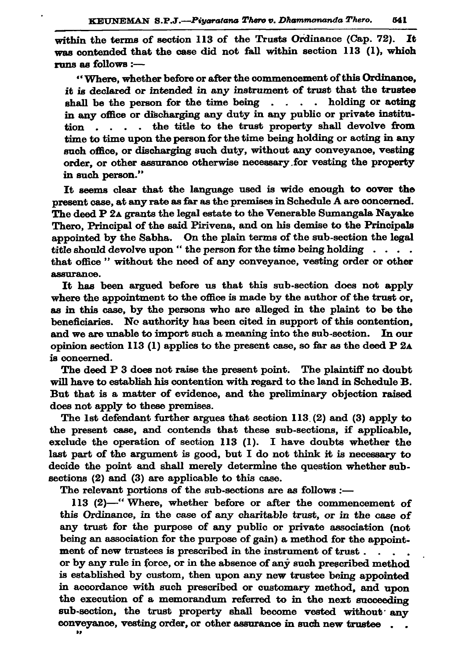within the terms of section 113 of the Trusts Ordinance (Cap. 72). It was contended that the case did not fall within section 113 (1), which runs as follows :-

"Where, whether before or after the commencement of this Ordinance, it is declared or intended in any instrument of trust that the trustee shall be the person for the time being . . . . holding or acting in any office or discharging any duty in any public or private institution . . . the title to the trust property shall devolve from time to time upon the person for the time being holding or acting in any such office, or discharging such duty, without any conveyance, vesting order, or other assurance otherwise necessary for vesting the property in such person."

It seems clear that the language used is wide enough to cover the present case, at any rate as far as the premises in Schedule A are concerned. The deed P 2A grants the legal estate to the Venerable Sumangala Nayake Thero. Principal of the said Pirivena, and on his demise to the Principals appointed by the Sabha. On the plain terms of the sub-section the legal title should devolve upon "the person for the time being holding . . . . that office " without the need of any conveyance, vesting order or other assurance.

It has been argued before us that this sub-section does not apply where the appointment to the office is made by the author of the trust or, as in this case, by the persons who are alleged in the plaint to be the beneficiaries. No authority has been cited in support of this contention, and we are unable to import such a meaning into the sub-section. In our opinion section 113 (1) applies to the present case, so far as the deed P 2A is concerned.

The deed P 3 does not raise the present point. The plaintiff no doubt will have to establish his contention with regard to the land in Schedule B. But that is a matter of evidence, and the preliminary objection raised does not apply to these premises.

The 1st defendant further argues that section 113 (2) and (3) apply to the present case, and contends that these sub-sections, if applicable, exclude the operation of section 113 (1). I have doubts whether the last part of the argument is good, but I do not think it is necessary to decide the point and shall merely determine the question whether subsections (2) and (3) are applicable to this case.

The relevant portions of the sub-sections are as follows :-

113 (2)-"Where, whether before or after the commencement of this Ordinance, in the case of any charitable trust, or in the case of any trust for the purpose of any public or private association (not being an association for the purpose of gain) a method for the appointment of new trustees is prescribed in the instrument of trust. or by any rule in force, or in the absence of any such prescribed method is established by custom, then upon any new trustee being appointed in accordance with such prescribed or customary method, and upon the execution of a memorandum referred to in the next succeeding sub-section, the trust property shall become vested without any conveyance, vesting order, or other assurance in such new trustee. 89